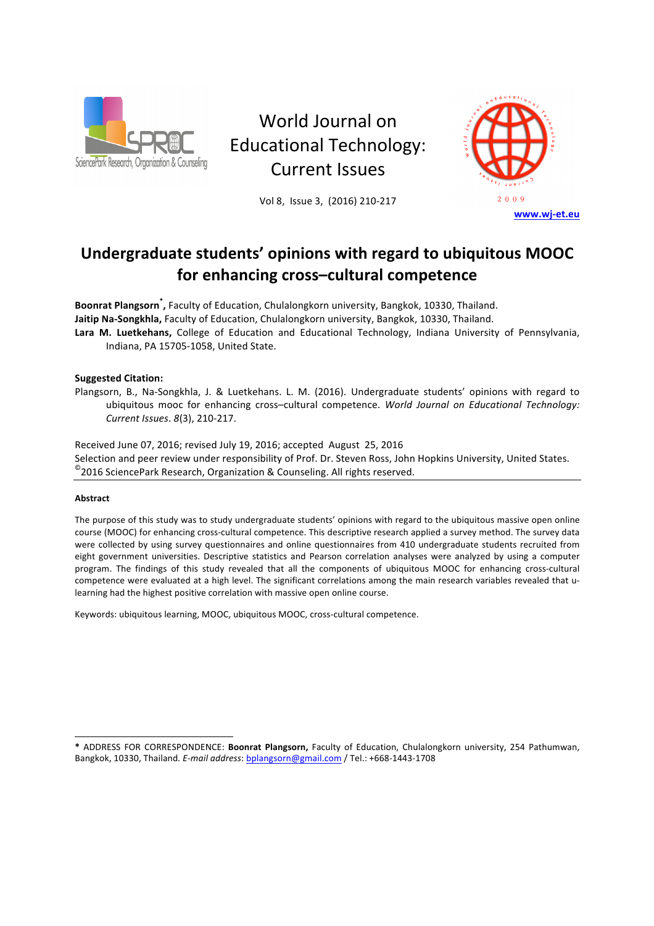

World Journal on Educational Technology: Current Issues

Vol 8, Issue 3, (2016) 210-217



# Undergraduate students' opinions with regard to ubiquitous MOOC for enhancing cross-cultural competence

Boonrat Plangsorn<sup>\*</sup>, Faculty of Education, Chulalongkorn university, Bangkok, 10330, Thailand. Jaitip Na-Songkhla, Faculty of Education, Chulalongkorn university, Bangkok, 10330, Thailand. Lara M. Luetkehans, College of Education and Educational Technology, Indiana University of Pennsylvania, Indiana, PA 15705-1058, United State.

# **Suggested Citation:**

Plangsorn, B., Na-Songkhla, J. & Luetkehans. L. M. (2016). Undergraduate students' opinions with regard to ubiquitous mooc for enhancing cross-cultural competence. *World Journal on Educational Technology: Current Issues*. *8*(3), 210-217. 

Received June 07, 2016; revised July 19, 2016; accepted August 25, 2016 Selection and peer review under responsibility of Prof. Dr. Steven Ross, John Hopkins University, United States.  $^{\circ}$ 2016 SciencePark Research, Organization & Counseling. All rights reserved.

# **Abstract**

l

The purpose of this study was to study undergraduate students' opinions with regard to the ubiquitous massive open online course (MOOC) for enhancing cross-cultural competence. This descriptive research applied a survey method. The survey data were collected by using survey questionnaires and online questionnaires from 410 undergraduate students recruited from eight government universities. Descriptive statistics and Pearson correlation analyses were analyzed by using a computer program. The findings of this study revealed that all the components of ubiquitous MOOC for enhancing cross-cultural competence were evaluated at a high level. The significant correlations among the main research variables revealed that ulearning had the highest positive correlation with massive open online course.

Keywords: ubiquitous learning, MOOC, ubiquitous MOOC, cross-cultural competence.

**<sup>\*</sup>** ADDRESS FOR CORRESPONDENCE: **Boonrat Plangsorn,** Faculty of Education, Chulalongkorn university, 254 Pathumwan, Bangkok, 10330, Thailand. E-mail address: bplangsorn@gmail.com / Tel.: +668-1443-1708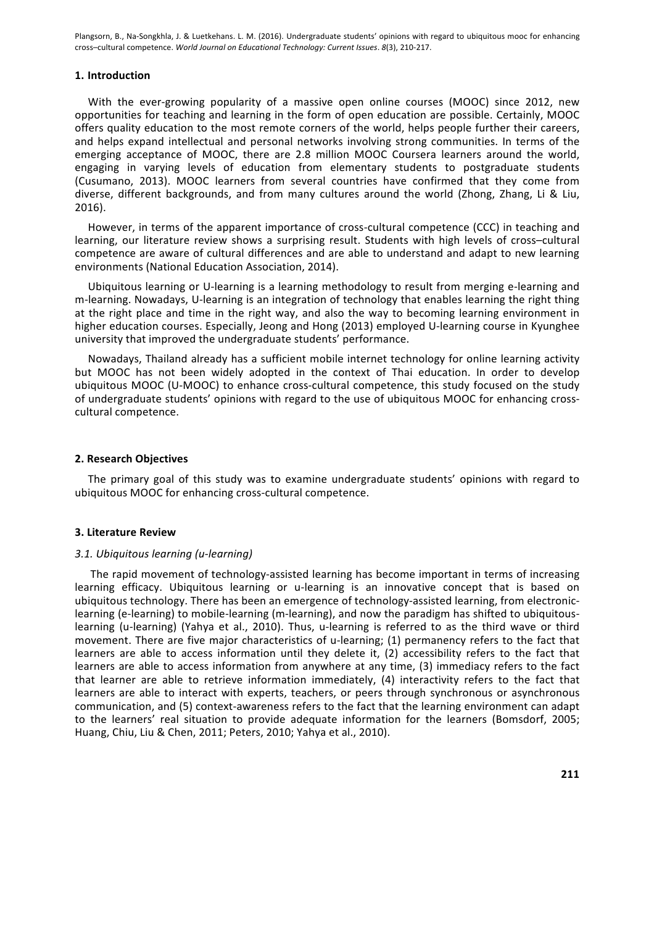# **1. Introduction**

With the ever-growing popularity of a massive open online courses (MOOC) since 2012, new opportunities for teaching and learning in the form of open education are possible. Certainly, MOOC offers quality education to the most remote corners of the world, helps people further their careers, and helps expand intellectual and personal networks involving strong communities. In terms of the emerging acceptance of MOOC, there are 2.8 million MOOC Coursera learners around the world, engaging in varying levels of education from elementary students to postgraduate students (Cusumano, 2013). MOOC learners from several countries have confirmed that they come from diverse, different backgrounds, and from many cultures around the world (Zhong, Zhang, Li & Liu, 2016).

However, in terms of the apparent importance of cross-cultural competence (CCC) in teaching and learning, our literature review shows a surprising result. Students with high levels of cross-cultural competence are aware of cultural differences and are able to understand and adapt to new learning environments (National Education Association, 2014).

Ubiquitous learning or U-learning is a learning methodology to result from merging e-learning and m-learning. Nowadays, U-learning is an integration of technology that enables learning the right thing at the right place and time in the right way, and also the way to becoming learning environment in higher education courses. Especially, Jeong and Hong (2013) employed U-learning course in Kyunghee university that improved the undergraduate students' performance.

Nowadays, Thailand already has a sufficient mobile internet technology for online learning activity but MOOC has not been widely adopted in the context of Thai education. In order to develop ubiquitous MOOC (U-MOOC) to enhance cross-cultural competence, this study focused on the study of undergraduate students' opinions with regard to the use of ubiquitous MOOC for enhancing crosscultural competence.

### **2. Research Objectives**

The primary goal of this study was to examine undergraduate students' opinions with regard to ubiquitous MOOC for enhancing cross-cultural competence.

#### **3. Literature Review**

#### *3.1. Ubiquitous learning (u-learning)*

The rapid movement of technology-assisted learning has become important in terms of increasing learning efficacy. Ubiquitous learning or u-learning is an innovative concept that is based on ubiquitous technology. There has been an emergence of technology-assisted learning, from electroniclearning (e-learning) to mobile-learning (m-learning), and now the paradigm has shifted to ubiquitouslearning (u-learning) (Yahya et al., 2010). Thus, u-learning is referred to as the third wave or third movement. There are five major characteristics of u-learning; (1) permanency refers to the fact that learners are able to access information until they delete it,  $(2)$  accessibility refers to the fact that learners are able to access information from anywhere at any time, (3) immediacy refers to the fact that learner are able to retrieve information immediately, (4) interactivity refers to the fact that learners are able to interact with experts, teachers, or peers through synchronous or asynchronous communication, and (5) context-awareness refers to the fact that the learning environment can adapt to the learners' real situation to provide adequate information for the learners (Bomsdorf, 2005; Huang, Chiu, Liu & Chen, 2011; Peters, 2010; Yahya et al., 2010).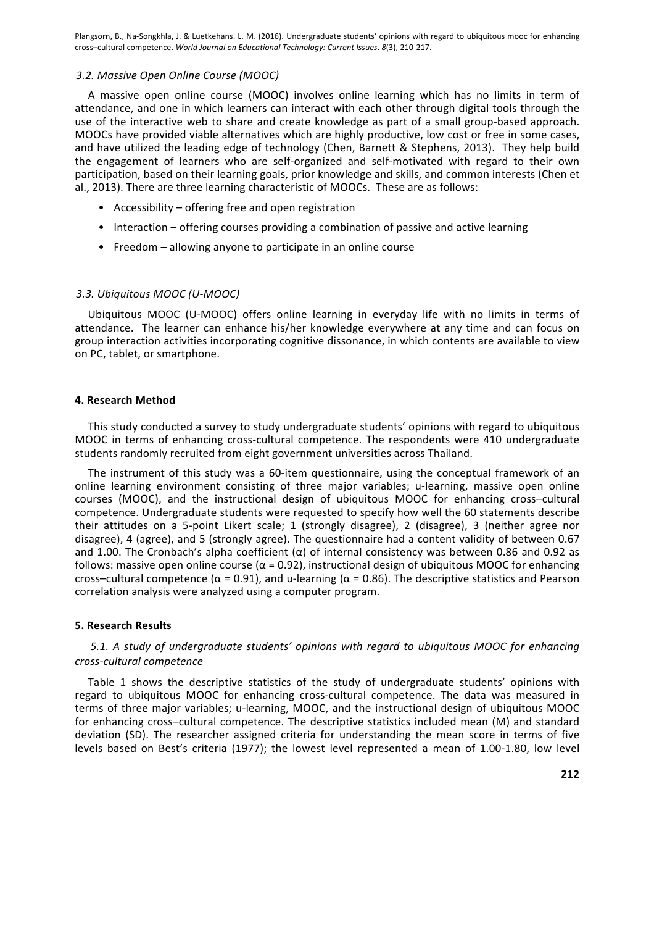### 3.2. Massive Open Online Course (MOOC)

A massive open online course (MOOC) involves online learning which has no limits in term of attendance, and one in which learners can interact with each other through digital tools through the use of the interactive web to share and create knowledge as part of a small group-based approach. MOOCs have provided viable alternatives which are highly productive, low cost or free in some cases, and have utilized the leading edge of technology (Chen, Barnett & Stephens, 2013). They help build the engagement of learners who are self-organized and self-motivated with regard to their own participation, based on their learning goals, prior knowledge and skills, and common interests (Chen et al., 2013). There are three learning characteristic of MOOCs. These are as follows:

- Accessibility  $-$  offering free and open registration
- Interaction offering courses providing a combination of passive and active learning
- Freedom allowing anyone to participate in an online course

#### *3.3. Ubiquitous MOOC (U-MOOC)*

Ubiquitous MOOC (U-MOOC) offers online learning in everyday life with no limits in terms of attendance. The learner can enhance his/her knowledge everywhere at any time and can focus on group interaction activities incorporating cognitive dissonance, in which contents are available to view on PC, tablet, or smartphone.

#### **4. Research Method**

This study conducted a survey to study undergraduate students' opinions with regard to ubiquitous MOOC in terms of enhancing cross-cultural competence. The respondents were 410 undergraduate students randomly recruited from eight government universities across Thailand.

The instrument of this study was a 60-item questionnaire, using the conceptual framework of an online learning environment consisting of three major variables; u-learning, massive open online courses (MOOC), and the instructional design of ubiquitous MOOC for enhancing cross-cultural competence. Undergraduate students were requested to specify how well the 60 statements describe their attitudes on a 5-point Likert scale; 1 (strongly disagree), 2 (disagree), 3 (neither agree nor disagree), 4 (agree), and 5 (strongly agree). The questionnaire had a content validity of between 0.67 and 1.00. The Cronbach's alpha coefficient  $(\alpha)$  of internal consistency was between 0.86 and 0.92 as follows: massive open online course ( $\alpha$  = 0.92), instructional design of ubiquitous MOOC for enhancing cross–cultural competence  $(\alpha = 0.91)$ , and u-learning  $(\alpha = 0.86)$ . The descriptive statistics and Pearson correlation analysis were analyzed using a computer program.

#### **5. Research Results**

# 5.1. A study of undergraduate students' opinions with regard to ubiquitous MOOC for enhancing *cross-cultural competence*

Table 1 shows the descriptive statistics of the study of undergraduate students' opinions with regard to ubiquitous MOOC for enhancing cross-cultural competence. The data was measured in terms of three major variables; u-learning, MOOC, and the instructional design of ubiquitous MOOC for enhancing cross-cultural competence. The descriptive statistics included mean (M) and standard deviation (SD). The researcher assigned criteria for understanding the mean score in terms of five levels based on Best's criteria (1977); the lowest level represented a mean of 1.00-1.80, low level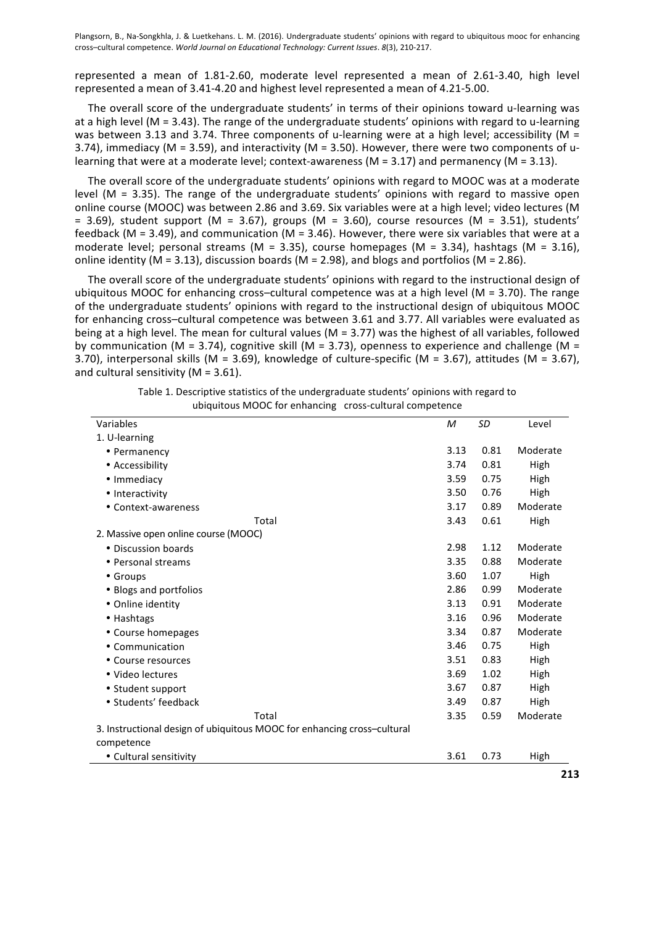represented a mean of 1.81-2.60, moderate level represented a mean of 2.61-3.40, high level represented a mean of 3.41-4.20 and highest level represented a mean of 4.21-5.00.

The overall score of the undergraduate students' in terms of their opinions toward u-learning was at a high level (M = 3.43). The range of the undergraduate students' opinions with regard to u-learning was between 3.13 and 3.74. Three components of u-learning were at a high level; accessibility (M = 3.74), immediacy (M = 3.59), and interactivity (M = 3.50). However, there were two components of ulearning that were at a moderate level; context-awareness ( $M = 3.17$ ) and permanency ( $M = 3.13$ ).

The overall score of the undergraduate students' opinions with regard to MOOC was at a moderate level ( $M = 3.35$ ). The range of the undergraduate students' opinions with regard to massive open online course (MOOC) was between 2.86 and 3.69. Six variables were at a high level; video lectures (M = 3.69), student support (M = 3.67), groups (M = 3.60), course resources (M = 3.51), students' feedback (M = 3.49), and communication (M = 3.46). However, there were six variables that were at a moderate level; personal streams (M = 3.35), course homepages (M = 3.34), hashtags (M = 3.16), online identity (M = 3.13), discussion boards (M = 2.98), and blogs and portfolios (M = 2.86).

The overall score of the undergraduate students' opinions with regard to the instructional design of ubiquitous MOOC for enhancing cross–cultural competence was at a high level (M = 3.70). The range of the undergraduate students' opinions with regard to the instructional design of ubiquitous MOOC for enhancing cross-cultural competence was between 3.61 and 3.77. All variables were evaluated as being at a high level. The mean for cultural values ( $M = 3.77$ ) was the highest of all variables, followed by communication (M = 3.74), cognitive skill (M = 3.73), openness to experience and challenge (M = 3.70), interpersonal skills (M = 3.69), knowledge of culture-specific (M = 3.67), attitudes (M = 3.67), and cultural sensitivity ( $M = 3.61$ ).

| Variables                                                               | M    | SD   | Level    |
|-------------------------------------------------------------------------|------|------|----------|
| 1. U-learning                                                           |      |      |          |
| • Permanency                                                            | 3.13 | 0.81 | Moderate |
| • Accessibility                                                         | 3.74 | 0.81 | High     |
| • Immediacy                                                             | 3.59 | 0.75 | High     |
| • Interactivity                                                         | 3.50 | 0.76 | High     |
| • Context-awareness                                                     | 3.17 | 0.89 | Moderate |
| Total                                                                   | 3.43 | 0.61 | High     |
| 2. Massive open online course (MOOC)                                    |      |      |          |
| • Discussion boards                                                     | 2.98 | 1.12 | Moderate |
| • Personal streams                                                      | 3.35 | 0.88 | Moderate |
| • Groups                                                                | 3.60 | 1.07 | High     |
| • Blogs and portfolios                                                  | 2.86 | 0.99 | Moderate |
| • Online identity                                                       | 3.13 | 0.91 | Moderate |
| • Hashtags                                                              | 3.16 | 0.96 | Moderate |
| • Course homepages                                                      | 3.34 | 0.87 | Moderate |
| • Communication                                                         | 3.46 | 0.75 | High     |
| • Course resources                                                      | 3.51 | 0.83 | High     |
| • Video lectures                                                        | 3.69 | 1.02 | High     |
| • Student support                                                       | 3.67 | 0.87 | High     |
| · Students' feedback                                                    | 3.49 | 0.87 | High     |
| Total                                                                   | 3.35 | 0.59 | Moderate |
| 3. Instructional design of ubiquitous MOOC for enhancing cross-cultural |      |      |          |
| competence                                                              |      |      |          |
| • Cultural sensitivity                                                  | 3.61 | 0.73 | High     |

| Table 1. Descriptive statistics of the undergraduate students' opinions with regard to |  |
|----------------------------------------------------------------------------------------|--|
| ubiquitous MOOC for enhancing cross-cultural competence                                |  |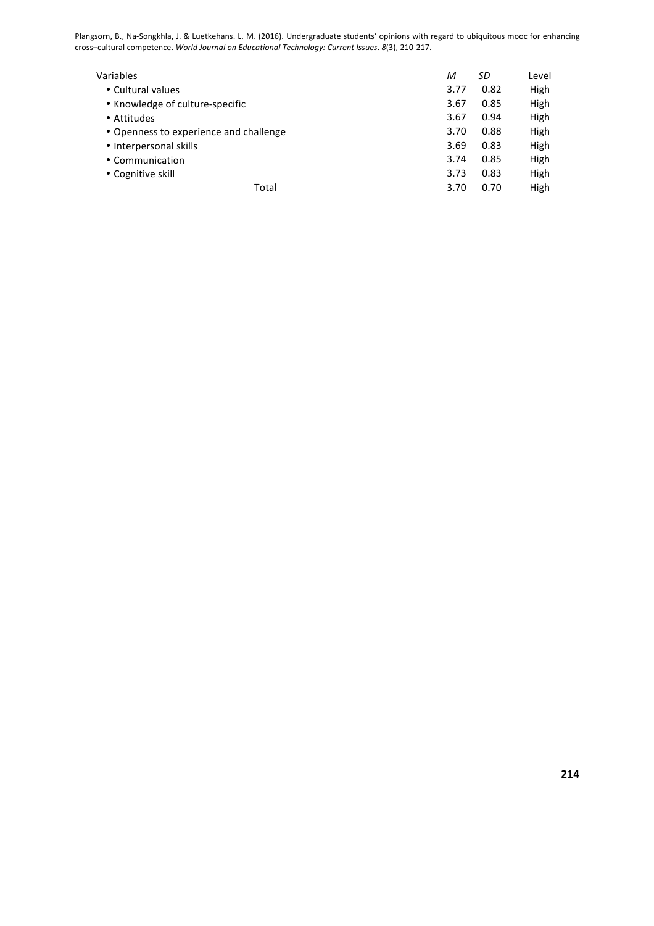| Variables                              | M    | SD   | Level |
|----------------------------------------|------|------|-------|
| • Cultural values                      | 3.77 | 0.82 | High  |
| • Knowledge of culture-specific        | 3.67 | 0.85 | High  |
| • Attitudes                            | 3.67 | 0.94 | High  |
| • Openness to experience and challenge | 3.70 | 0.88 | High  |
| • Interpersonal skills                 | 3.69 | 0.83 | High  |
| • Communication                        | 3.74 | 0.85 | High  |
| • Cognitive skill                      | 3.73 | 0.83 | High  |
| Total                                  | 3.70 | 0.70 | High  |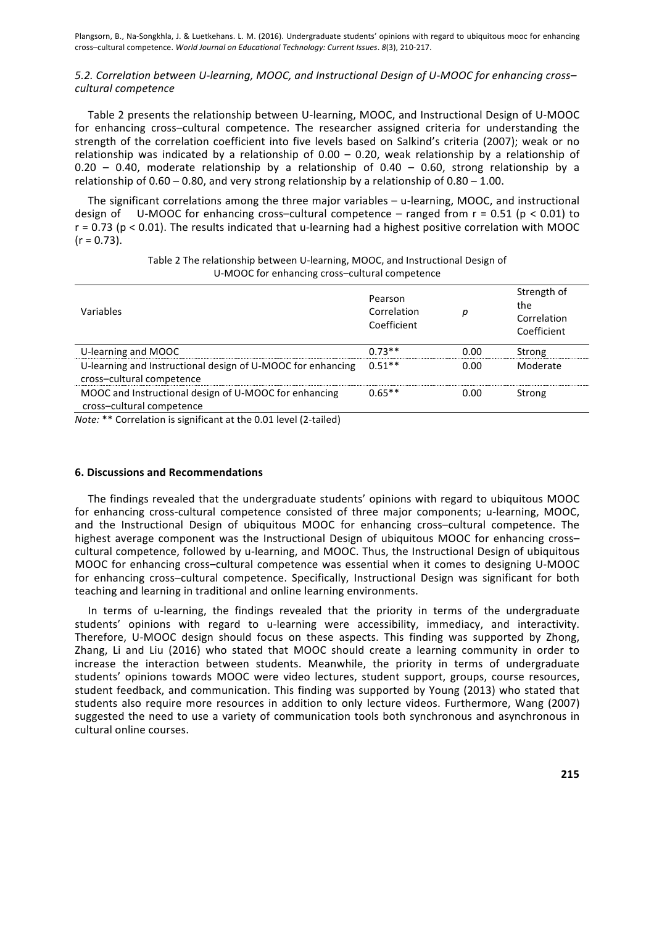# 5.2. Correlation between U-learning, MOOC, and Instructional Design of U-MOOC for enhancing cross*cultural competence*

Table 2 presents the relationship between U-learning, MOOC, and Instructional Design of U-MOOC for enhancing cross-cultural competence. The researcher assigned criteria for understanding the strength of the correlation coefficient into five levels based on Salkind's criteria (2007); weak or no relationship was indicated by a relationship of  $0.00 - 0.20$ , weak relationship by a relationship of  $0.20 - 0.40$ , moderate relationship by a relationship of  $0.40 - 0.60$ , strong relationship by a relationship of  $0.60 - 0.80$ , and very strong relationship by a relationship of  $0.80 - 1.00$ .

The significant correlations among the three major variables – u-learning, MOOC, and instructional design of U-MOOC for enhancing cross-cultural competence – ranged from  $r = 0.51$  (p < 0.01) to  $r = 0.73$  (p < 0.01). The results indicated that u-learning had a highest positive correlation with MOOC  $(r = 0.73)$ .

| Variables                                                                                | Pearson<br>Correlation<br>Coefficient | р    | Strength of<br>the<br>Correlation<br>Coefficient |
|------------------------------------------------------------------------------------------|---------------------------------------|------|--------------------------------------------------|
| U-learning and MOOC                                                                      | $0.73**$                              | 0.00 | Strong                                           |
| U-learning and Instructional design of U-MOOC for enhancing<br>cross-cultural competence | $0.51**$                              | 0.00 | Moderate                                         |
| MOOC and Instructional design of U-MOOC for enhancing<br>cross-cultural competence       | $0.65**$                              | 0.00 | Strong                                           |

Table 2 The relationship between U-learning, MOOC, and Instructional Design of U-MOOC for enhancing cross-cultural competence

*Note:* \*\* Correlation is significant at the 0.01 level (2-tailed)

# **6. Discussions and Recommendations**

The findings revealed that the undergraduate students' opinions with regard to ubiquitous MOOC for enhancing cross-cultural competence consisted of three major components; u-learning, MOOC, and the Instructional Design of ubiquitous MOOC for enhancing cross–cultural competence. The highest average component was the Instructional Design of ubiquitous MOOC for enhancing cross– cultural competence, followed by u-learning, and MOOC. Thus, the Instructional Design of ubiquitous MOOC for enhancing cross–cultural competence was essential when it comes to designing U-MOOC for enhancing cross-cultural competence. Specifically, Instructional Design was significant for both teaching and learning in traditional and online learning environments.

In terms of u-learning, the findings revealed that the priority in terms of the undergraduate students' opinions with regard to u-learning were accessibility, immediacy, and interactivity. Therefore, U-MOOC design should focus on these aspects. This finding was supported by Zhong, Zhang, Li and Liu (2016) who stated that MOOC should create a learning community in order to increase the interaction between students. Meanwhile, the priority in terms of undergraduate students' opinions towards MOOC were video lectures, student support, groups, course resources, student feedback, and communication. This finding was supported by Young (2013) who stated that students also require more resources in addition to only lecture videos. Furthermore, Wang (2007) suggested the need to use a variety of communication tools both synchronous and asynchronous in cultural online courses.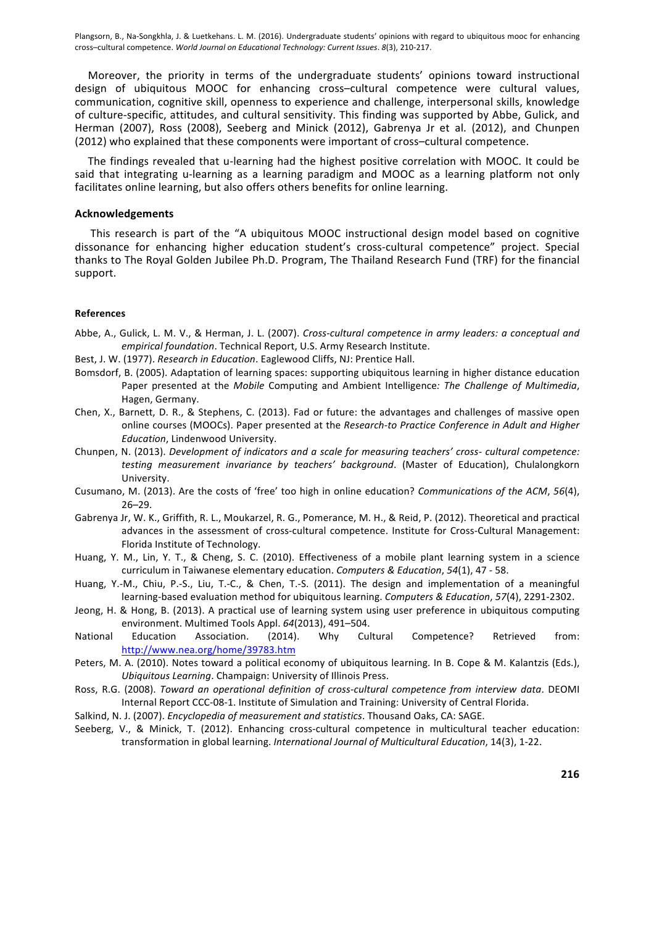Moreover, the priority in terms of the undergraduate students' opinions toward instructional design of ubiquitous MOOC for enhancing cross-cultural competence were cultural values, communication, cognitive skill, openness to experience and challenge, interpersonal skills, knowledge of culture-specific, attitudes, and cultural sensitivity. This finding was supported by Abbe, Gulick, and Herman (2007), Ross (2008), Seeberg and Minick (2012), Gabrenya Jr et al. (2012), and Chunpen (2012) who explained that these components were important of cross-cultural competence.

The findings revealed that u-learning had the highest positive correlation with MOOC. It could be said that integrating u-learning as a learning paradigm and MOOC as a learning platform not only facilitates online learning, but also offers others benefits for online learning.

#### **Acknowledgements**

This research is part of the "A ubiquitous MOOC instructional design model based on cognitive dissonance for enhancing higher education student's cross-cultural competence" project. Special thanks to The Royal Golden Jubilee Ph.D. Program, The Thailand Research Fund (TRF) for the financial support.

#### **References**

- Abbe, A., Gulick, L. M. V., & Herman, J. L. (2007). *Cross-cultural competence in army leaders: a conceptual and empirical foundation*. Technical Report, U.S. Army Research Institute.
- Best, J. W. (1977). *Research in Education*. Eaglewood Cliffs, NJ: Prentice Hall.
- Bomsdorf, B. (2005). Adaptation of learning spaces: supporting ubiquitous learning in higher distance education Paper presented at the *Mobile* Computing and Ambient Intelligence: The Challenge of Multimedia, Hagen, Germany.
- Chen, X., Barnett, D. R., & Stephens, C. (2013). Fad or future: the advantages and challenges of massive open online courses (MOOCs). Paper presented at the *Research-to Practice Conference in Adult and Higher Education*, Lindenwood University.
- Chunpen, N. (2013). *Development of indicators and a scale for measuring teachers' cross- cultural competence: testing measurement invariance by teachers' background*. (Master of Education), Chulalongkorn University.
- Cusumano, M. (2013). Are the costs of 'free' too high in online education? *Communications of the ACM*, 56(4), 26–29.
- Gabrenya Jr, W. K., Griffith, R. L., Moukarzel, R. G., Pomerance, M. H., & Reid, P. (2012). Theoretical and practical advances in the assessment of cross-cultural competence. Institute for Cross-Cultural Management: Florida Institute of Technology.
- Huang, Y. M., Lin, Y. T., & Cheng, S. C. (2010). Effectiveness of a mobile plant learning system in a science curriculum in Taiwanese elementary education. *Computers & Education*, 54(1), 47 - 58.
- Huang, Y.-M., Chiu, P.-S., Liu, T.-C., & Chen, T.-S. (2011). The design and implementation of a meaningful learning-based evaluation method for ubiquitous learning. *Computers & Education*, 57(4), 2291-2302.
- Jeong, H. & Hong, B. (2013). A practical use of learning system using user preference in ubiquitous computing environment. Multimed Tools Appl. 64(2013), 491-504.
- National Education Association. (2014). Why Cultural Competence? Retrieved from: http://www.nea.org/home/39783.htm
- Peters, M. A. (2010). Notes toward a political economy of ubiquitous learning. In B. Cope & M. Kalantzis (Eds.), *Ubiquitous Learning.* Champaign: University of Illinois Press.
- Ross, R.G. (2008). *Toward an operational definition of cross-cultural competence from interview data*. DEOMI Internal Report CCC-08-1. Institute of Simulation and Training: University of Central Florida.
- Salkind, N. J. (2007). *Encyclopedia of measurement and statistics*. Thousand Oaks, CA: SAGE.
- Seeberg, V., & Minick, T. (2012). Enhancing cross-cultural competence in multicultural teacher education: transformation in global learning. *International Journal of Multicultural Education*, 14(3), 1-22.